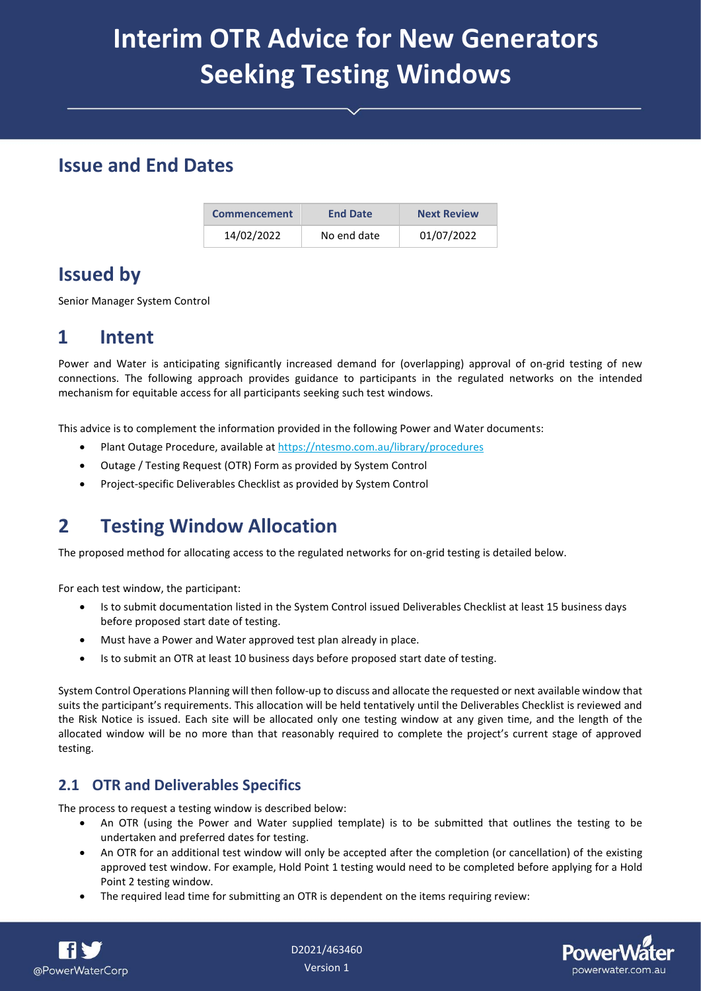# **Interim OTR Advice for New Generators Seeking Testing Windows**

### **Issue and End Dates**

| <b>Commencement</b> | <b>End Date</b> | <b>Next Review</b> |  |
|---------------------|-----------------|--------------------|--|
| 14/02/2022          | No end date     | 01/07/2022         |  |

## **Issued by**

Senior Manager System Control

## **1 Intent**

Power and Water is anticipating significantly increased demand for (overlapping) approval of on-grid testing of new connections. The following approach provides guidance to participants in the regulated networks on the intended mechanism for equitable access for all participants seeking such test windows.

This advice is to complement the information provided in the following Power and Water documents:

- Plant Outage Procedure, available at<https://ntesmo.com.au/library/procedures>
- Outage / Testing Request (OTR) Form as provided by System Control
- Project-specific Deliverables Checklist as provided by System Control

## **2 Testing Window Allocation**

The proposed method for allocating access to the regulated networks for on-grid testing is detailed below.

For each test window, the participant:

- Is to submit documentation listed in the System Control issued Deliverables Checklist at least 15 business days before proposed start date of testing.
- Must have a Power and Water approved test plan already in place.
- Is to submit an OTR at least 10 business days before proposed start date of testing.

System Control Operations Planning will then follow-up to discuss and allocate the requested or next available window that suits the participant's requirements. This allocation will be held tentatively until the Deliverables Checklist is reviewed and the Risk Notice is issued. Each site will be allocated only one testing window at any given time, and the length of the allocated window will be no more than that reasonably required to complete the project's current stage of approved testing.

#### **2.1 OTR and Deliverables Specifics**

The process to request a testing window is described below:

- An OTR (using the Power and Water supplied template) is to be submitted that outlines the testing to be undertaken and preferred dates for testing.
- An OTR for an additional test window will only be accepted after the completion (or cancellation) of the existing approved test window. For example, Hold Point 1 testing would need to be completed before applying for a Hold Point 2 testing window.
- The required lead time for submitting an OTR is dependent on the items requiring review: